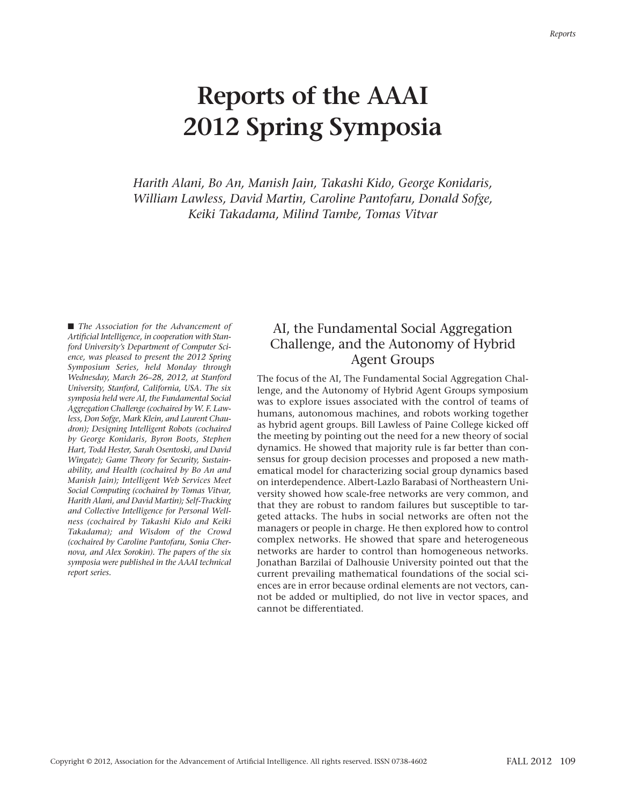# **Reports of the AAAI 2012 Spring Symposia**

*Harith Alani, Bo An, Manish Jain, Takashi Kido, George Konidaris, William Lawless, David Martin, Caroline Pantofaru, Donald Sofge, Keiki Takadama, Milind Tambe, Tomas Vitvar*

■ *The Association for the Advancement of Artificial Intelligence, in cooperation with Stanford University's Department of Computer Science, was pleased to present the 2012 Spring Symposium Series, held Monday through Wednesday, March 26–28, 2012, at Stanford University, Stanford, California, USA. The six symposia held were AI, the Fundamental Social Aggregation Challenge (cochaired by W. F. Lawless, Don Sofge, Mark Klein, and Laurent Chaudron); Designing Intelligent Robots (cochaired by George Konidaris, Byron Boots, Stephen Hart, Todd Hester, Sarah Osentoski, and David Wingate); Game Theory for Security, Sustainability, and Health (cochaired by Bo An and Manish Jain); Intelligent Web Services Meet Social Computing (cochaired by Tomas Vitvar, Harith Alani, and David Martin); Self-Tracking and Collective Intelligence for Personal Wellness (cochaired by Takashi Kido and Keiki Takadama); and Wisdom of the Crowd (cochaired by Caroline Pantofaru, Sonia Chernova, and Alex Sorokin). The papers of the six symposia were published in the AAAI technical report series.*

# AI, the Fundamental Social Aggregation Challenge, and the Autonomy of Hybrid Agent Groups

The focus of the AI, The Fundamental Social Aggregation Challenge, and the Autonomy of Hybrid Agent Groups symposium was to explore issues associated with the control of teams of humans, autonomous machines, and robots working together as hybrid agent groups. Bill Lawless of Paine College kicked off the meeting by pointing out the need for a new theory of social dynamics. He showed that majority rule is far better than consensus for group decision processes and proposed a new mathematical model for characterizing social group dynamics based on interdependence. Albert-Lazlo Barabasi of Northeastern University showed how scale-free networks are very common, and that they are robust to random failures but susceptible to targeted attacks. The hubs in social networks are often not the managers or people in charge. He then explored how to control complex networks. He showed that spare and heterogeneous networks are harder to control than homogeneous networks. Jonathan Barzilai of Dalhousie University pointed out that the current prevailing mathematical foundations of the social sciences are in error because ordinal elements are not vectors, cannot be added or multiplied, do not live in vector spaces, and cannot be differentiated.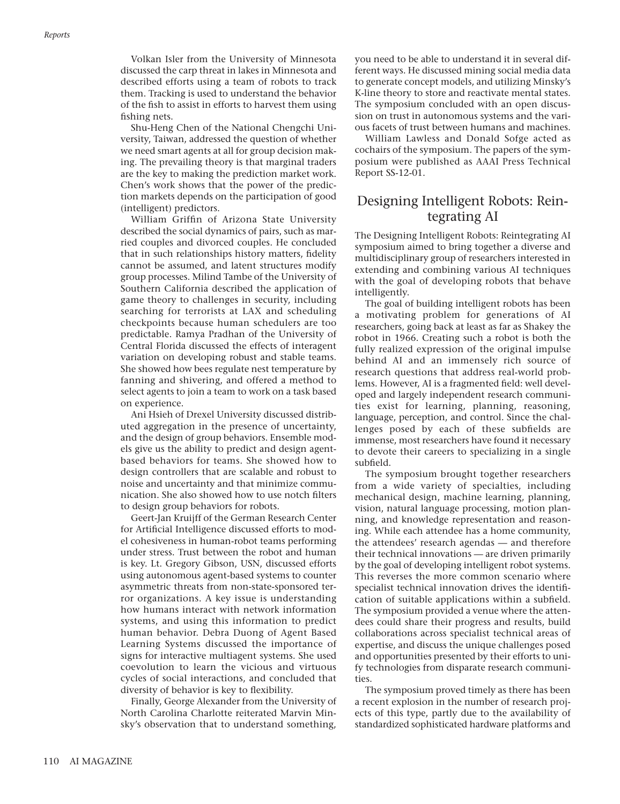Volkan Isler from the University of Minnesota discussed the carp threat in lakes in Minnesota and described efforts using a team of robots to track them. Tracking is used to understand the behavior of the fish to assist in efforts to harvest them using fishing nets.

Shu-Heng Chen of the National Chengchi University, Taiwan, addressed the question of whether we need smart agents at all for group decision making. The prevailing theory is that marginal traders are the key to making the prediction market work. Chen's work shows that the power of the prediction markets depends on the participation of good (intelligent) predictors.

William Griffin of Arizona State University described the social dynamics of pairs, such as married couples and divorced couples. He concluded that in such relationships history matters, fidelity cannot be assumed, and latent structures modify group processes. Milind Tambe of the University of Southern California described the application of game theory to challenges in security, including searching for terrorists at LAX and scheduling checkpoints because human schedulers are too predictable. Ramya Pradhan of the University of Central Florida discussed the effects of interagent variation on developing robust and stable teams. She showed how bees regulate nest temperature by fanning and shivering, and offered a method to select agents to join a team to work on a task based on experience.

Ani Hsieh of Drexel University discussed distributed aggregation in the presence of uncertainty, and the design of group behaviors. Ensemble models give us the ability to predict and design agentbased behaviors for teams. She showed how to design controllers that are scalable and robust to noise and uncertainty and that minimize communication. She also showed how to use notch filters to design group behaviors for robots.

Geert-Jan Kruijff of the German Research Center for Artificial Intelligence discussed efforts to model cohesiveness in human-robot teams performing under stress. Trust between the robot and human is key. Lt. Gregory Gibson, USN, discussed efforts using autonomous agent-based systems to counter asymmetric threats from non-state-sponsored terror organizations. A key issue is understanding how humans interact with network information systems, and using this information to predict human behavior. Debra Duong of Agent Based Learning Systems discussed the importance of signs for interactive multiagent systems. She used coevolution to learn the vicious and virtuous cycles of social interactions, and concluded that diversity of behavior is key to flexibility.

Finally, George Alexander from the University of North Carolina Charlotte reiterated Marvin Minsky's observation that to understand something, you need to be able to understand it in several different ways. He discussed mining social media data to generate concept models, and utilizing Minsky's K-line theory to store and reactivate mental states. The symposium concluded with an open discussion on trust in autonomous systems and the various facets of trust between humans and machines.

William Lawless and Donald Sofge acted as cochairs of the symposium. The papers of the symposium were published as AAAI Press Technical Report SS-12-01.

### Designing Intelligent Robots: Reintegrating AI

The Designing Intelligent Robots: Reintegrating AI symposium aimed to bring together a diverse and multidisciplinary group of researchers interested in extending and combining various AI techniques with the goal of developing robots that behave intelligently.

The goal of building intelligent robots has been a motivating problem for generations of AI researchers, going back at least as far as Shakey the robot in 1966. Creating such a robot is both the fully realized expression of the original impulse behind AI and an immensely rich source of research questions that address real-world problems. However, AI is a fragmented field: well developed and largely independent research communities exist for learning, planning, reasoning, language, perception, and control. Since the challenges posed by each of these subfields are immense, most researchers have found it necessary to devote their careers to specializing in a single subfield.

The symposium brought together researchers from a wide variety of specialties, including mechanical design, machine learning, planning, vision, natural language processing, motion planning, and knowledge representation and reasoning. While each attendee has a home community, the attendees' research agendas — and therefore their technical innovations — are driven primarily by the goal of developing intelligent robot systems. This reverses the more common scenario where specialist technical innovation drives the identification of suitable applications within a subfield. The symposium provided a venue where the attendees could share their progress and results, build collaborations across specialist technical areas of expertise, and discuss the unique challenges posed and opportunities presented by their efforts to unify technologies from disparate research communities.

The symposium proved timely as there has been a recent explosion in the number of research projects of this type, partly due to the availability of standardized sophisticated hardware platforms and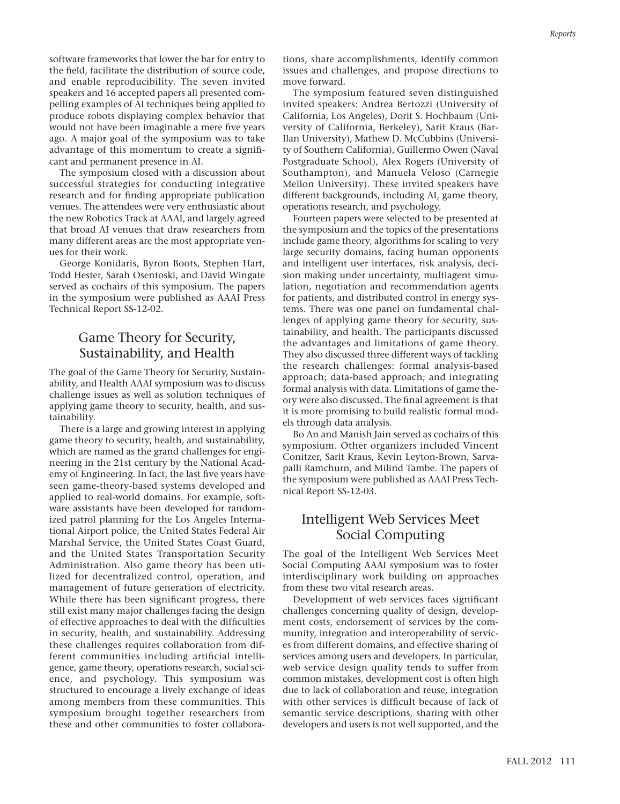software frameworks that lower the bar for entry to the field, facilitate the distribution of source code, and enable reproducibility. The seven invited speakers and 16 accepted papers all presented compelling examples of AI techniques being applied to produce robots displaying complex behavior that would not have been imaginable a mere five years ago. A major goal of the symposium was to take advantage of this momentum to create a significant and permanent presence in AI.

The symposium closed with a discussion about successful strategies for conducting integrative research and for finding appropriate publication venues. The attendees were very enthusiastic about the new Robotics Track at AAAI, and largely agreed that broad AI venues that draw researchers from many different areas are the most appropriate venues for their work.

George Konidaris, Byron Boots, Stephen Hart, Todd Hester, Sarah Osentoski, and David Wingate served as cochairs of this symposium. The papers in the symposium were published as AAAI Press Technical Report SS-12-02.

# Game Theory for Security, Sustainability, and Health

The goal of the Game Theory for Security, Sustainability, and Health AAAI symposium was to discuss challenge issues as well as solution techniques of applying game theory to security, health, and sustainability.

There is a large and growing interest in applying game theory to security, health, and sustainability, which are named as the grand challenges for engineering in the 21st century by the National Academy of Engineering. In fact, the last five years have seen game-theory-based systems developed and applied to real-world domains. For example, software assistants have been developed for randomized patrol planning for the Los Angeles International Airport police, the United States Federal Air Marshal Service, the United States Coast Guard, and the United States Transportation Security Administration. Also game theory has been utilized for decentralized control, operation, and management of future generation of electricity. While there has been significant progress, there still exist many major challenges facing the design of effective approaches to deal with the difficulties in security, health, and sustainability. Addressing these challenges requires collaboration from different communities including artificial intelligence, game theory, operations research, social science, and psychology. This symposium was structured to encourage a lively exchange of ideas among members from these communities. This symposium brought together researchers from these and other communities to foster collaborations, share accomplishments, identify common issues and challenges, and propose directions to move forward.

The symposium featured seven distinguished invited speakers: Andrea Bertozzi (University of California, Los Angeles), Dorit S. Hochbaum (University of California, Berkeley), Sarit Kraus (Bar-Ilan University), Mathew D. McCubbins (University of Southern California), Guillermo Owen (Naval Postgraduate School), Alex Rogers (University of Southampton), and Manuela Veloso (Carnegie Mellon University). These invited speakers have different backgrounds, including AI, game theory, operations research, and psychology.

Fourteen papers were selected to be presented at the symposium and the topics of the presentations include game theory, algorithms for scaling to very large security domains, facing human opponents and intelligent user interfaces, risk analysis, decision making under uncertainty, multiagent simulation, negotiation and recommendation agents for patients, and distributed control in energy systems. There was one panel on fundamental challenges of applying game theory for security, sustainability, and health. The participants discussed the advantages and limitations of game theory. They also discussed three different ways of tackling the research challenges: formal analysis-based approach; data-based approach; and integrating formal analysis with data. Limitations of game theory were also discussed. The final agreement is that it is more promising to build realistic formal models through data analysis.

Bo An and Manish Jain served as cochairs of this symposium. Other organizers included Vincent Conitzer, Sarit Kraus, Kevin Leyton-Brown, Sarvapalli Ramchurn, and Milind Tambe. The papers of the symposium were published as AAAI Press Technical Report SS-12-03.

## Intelligent Web Services Meet Social Computing

The goal of the Intelligent Web Services Meet Social Computing AAAI symposium was to foster interdisciplinary work building on approaches from these two vital research areas.

Development of web services faces significant challenges concerning quality of design, development costs, endorsement of services by the community, integration and interoperability of services from different domains, and effective sharing of services among users and developers. In particular, web service design quality tends to suffer from common mistakes, development cost is often high due to lack of collaboration and reuse, integration with other services is difficult because of lack of semantic service descriptions, sharing with other developers and users is not well supported, and the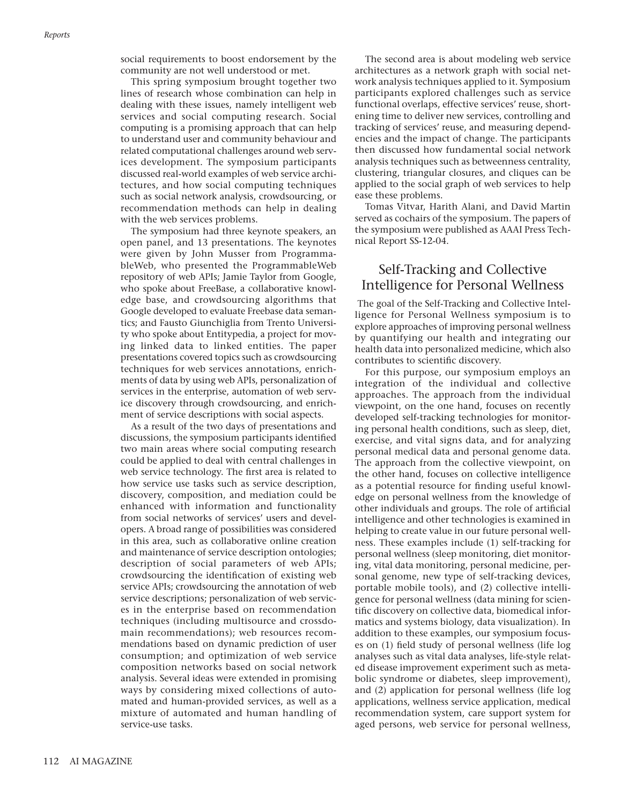social requirements to boost endorsement by the community are not well understood or met.

This spring symposium brought together two lines of research whose combination can help in dealing with these issues, namely intelligent web services and social computing research. Social computing is a promising approach that can help to understand user and community behaviour and related computational challenges around web services development. The symposium participants discussed real-world examples of web service architectures, and how social computing techniques such as social network analysis, crowdsourcing, or recommendation methods can help in dealing with the web services problems.

The symposium had three keynote speakers, an open panel, and 13 presentations. The keynotes were given by John Musser from ProgrammableWeb, who presented the ProgrammableWeb repository of web APIs; Jamie Taylor from Google, who spoke about FreeBase, a collaborative knowledge base, and crowdsourcing algorithms that Google developed to evaluate Freebase data semantics; and Fausto Giunchiglia from Trento University who spoke about Entitypedia, a project for moving linked data to linked entities. The paper presentations covered topics such as crowdsourcing techniques for web services annotations, enrichments of data by using web APIs, personalization of services in the enterprise, automation of web service discovery through crowdsourcing, and enrichment of service descriptions with social aspects.

As a result of the two days of presentations and discussions, the symposium participants identified two main areas where social computing research could be applied to deal with central challenges in web service technology. The first area is related to how service use tasks such as service description, discovery, composition, and mediation could be enhanced with information and functionality from social networks of services' users and developers. A broad range of possibilities was considered in this area, such as collaborative online creation and maintenance of service description ontologies; description of social parameters of web APIs; crowdsourcing the identification of existing web service APIs; crowdsourcing the annotation of web service descriptions; personalization of web services in the enterprise based on recommendation techniques (including multisource and crossdomain recommendations); web resources recommendations based on dynamic prediction of user consumption; and optimization of web service composition networks based on social network analysis. Several ideas were extended in promising ways by considering mixed collections of automated and human-provided services, as well as a mixture of automated and human handling of service-use tasks.

The second area is about modeling web service architectures as a network graph with social network analysis techniques applied to it. Symposium participants explored challenges such as service functional overlaps, effective services' reuse, shortening time to deliver new services, controlling and tracking of services' reuse, and measuring dependencies and the impact of change. The participants then discussed how fundamental social network analysis techniques such as betweenness centrality, clustering, triangular closures, and cliques can be applied to the social graph of web services to help ease these problems.

Tomas Vitvar, Harith Alani, and David Martin served as cochairs of the symposium. The papers of the symposium were published as AAAI Press Technical Report SS-12-04.

### Self-Tracking and Collective Intelligence for Personal Wellness

The goal of the Self-Tracking and Collective Intelligence for Personal Wellness symposium is to explore approaches of improving personal wellness by quantifying our health and integrating our health data into personalized medicine, which also contributes to scientific discovery.

For this purpose, our symposium employs an integration of the individual and collective approaches. The approach from the individual viewpoint, on the one hand, focuses on recently developed self-tracking technologies for monitoring personal health conditions, such as sleep, diet, exercise, and vital signs data, and for analyzing personal medical data and personal genome data. The approach from the collective viewpoint, on the other hand, focuses on collective intelligence as a potential resource for finding useful knowledge on personal wellness from the knowledge of other individuals and groups. The role of artificial intelligence and other technologies is examined in helping to create value in our future personal wellness. These examples include (1) self-tracking for personal wellness (sleep monitoring, diet monitoring, vital data monitoring, personal medicine, personal genome, new type of self-tracking devices, portable mobile tools), and (2) collective intelligence for personal wellness (data mining for scientific discovery on collective data, biomedical informatics and systems biology, data visualization). In addition to these examples, our symposium focuses on (1) field study of personal wellness (life log analyses such as vital data analyses, life-style related disease improvement experiment such as metabolic syndrome or diabetes, sleep improvement), and (2) application for personal wellness (life log applications, wellness service application, medical recommendation system, care support system for aged persons, web service for personal wellness,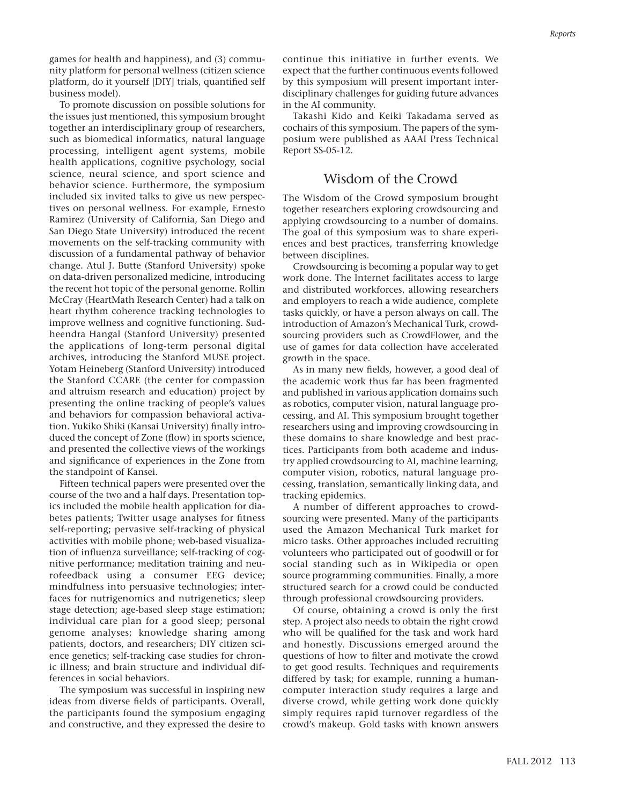games for health and happiness), and (3) community platform for personal wellness (citizen science platform, do it yourself [DIY] trials, quantified self business model).

To promote discussion on possible solutions for the issues just mentioned, this symposium brought together an interdisciplinary group of researchers, such as biomedical informatics, natural language processing, intelligent agent systems, mobile health applications, cognitive psychology, social science, neural science, and sport science and behavior science. Furthermore, the symposium included six invited talks to give us new perspectives on personal wellness. For example, Ernesto Ramirez (University of California, San Diego and San Diego State University) introduced the recent movements on the self-tracking community with discussion of a fundamental pathway of behavior change. Atul J. Butte (Stanford University) spoke on data-driven personalized medicine, introducing the recent hot topic of the personal genome. Rollin McCray (HeartMath Research Center) had a talk on heart rhythm coherence tracking technologies to improve wellness and cognitive functioning. Sudheendra Hangal (Stanford University) presented the applications of long-term personal digital archives, introducing the Stanford MUSE project. Yotam Heineberg (Stanford University) introduced the Stanford CCARE (the center for compassion and altruism research and education) project by presenting the online tracking of people's values and behaviors for compassion behavioral activation. Yukiko Shiki (Kansai University) finally introduced the concept of Zone (flow) in sports science, and presented the collective views of the workings and significance of experiences in the Zone from the standpoint of Kansei.

Fifteen technical papers were presented over the course of the two and a half days. Presentation topics included the mobile health application for diabetes patients; Twitter usage analyses for fitness self-reporting; pervasive self-tracking of physical activities with mobile phone; web-based visualization of influenza surveillance; self-tracking of cognitive performance; meditation training and neurofeedback using a consumer EEG device; mindfulness into persuasive technologies; interfaces for nutrigenomics and nutrigenetics; sleep stage detection; age-based sleep stage estimation; individual care plan for a good sleep; personal genome analyses; knowledge sharing among patients, doctors, and researchers; DIY citizen science genetics; self-tracking case studies for chronic illness; and brain structure and individual differences in social behaviors.

The symposium was successful in inspiring new ideas from diverse fields of participants. Overall, the participants found the symposium engaging and constructive, and they expressed the desire to

continue this initiative in further events. We expect that the further continuous events followed by this symposium will present important interdisciplinary challenges for guiding future advances in the AI community.

Takashi Kido and Keiki Takadama served as cochairs of this symposium. The papers of the symposium were published as AAAI Press Technical Report SS-05-12.

#### Wisdom of the Crowd

The Wisdom of the Crowd symposium brought together researchers exploring crowdsourcing and applying crowdsourcing to a number of domains. The goal of this symposium was to share experiences and best practices, transferring knowledge between disciplines.

Crowdsourcing is becoming a popular way to get work done. The Internet facilitates access to large and distributed workforces, allowing researchers and employers to reach a wide audience, complete tasks quickly, or have a person always on call. The introduction of Amazon's Mechanical Turk, crowdsourcing providers such as CrowdFlower, and the use of games for data collection have accelerated growth in the space.

As in many new fields, however, a good deal of the academic work thus far has been fragmented and published in various application domains such as robotics, computer vision, natural language processing, and AI. This symposium brought together researchers using and improving crowdsourcing in these domains to share knowledge and best practices. Participants from both academe and industry applied crowdsourcing to AI, machine learning, computer vision, robotics, natural language processing, translation, semantically linking data, and tracking epidemics.

A number of different approaches to crowdsourcing were presented. Many of the participants used the Amazon Mechanical Turk market for micro tasks. Other approaches included recruiting volunteers who participated out of goodwill or for social standing such as in Wikipedia or open source programming communities. Finally, a more structured search for a crowd could be conducted through professional crowdsourcing providers.

Of course, obtaining a crowd is only the first step. A project also needs to obtain the right crowd who will be qualified for the task and work hard and honestly. Discussions emerged around the questions of how to filter and motivate the crowd to get good results. Techniques and requirements differed by task; for example, running a humancomputer interaction study requires a large and diverse crowd, while getting work done quickly simply requires rapid turnover regardless of the crowd's makeup. Gold tasks with known answers